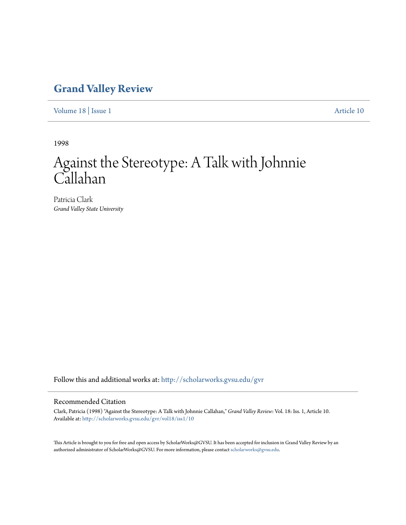## **[Grand Valley Review](http://scholarworks.gvsu.edu/gvr?utm_source=scholarworks.gvsu.edu%2Fgvr%2Fvol18%2Fiss1%2F10&utm_medium=PDF&utm_campaign=PDFCoverPages)**

[Volume 18](http://scholarworks.gvsu.edu/gvr/vol18?utm_source=scholarworks.gvsu.edu%2Fgvr%2Fvol18%2Fiss1%2F10&utm_medium=PDF&utm_campaign=PDFCoverPages) | [Issue 1](http://scholarworks.gvsu.edu/gvr/vol18/iss1?utm_source=scholarworks.gvsu.edu%2Fgvr%2Fvol18%2Fiss1%2F10&utm_medium=PDF&utm_campaign=PDFCoverPages) [Article 10](http://scholarworks.gvsu.edu/gvr/vol18/iss1/10?utm_source=scholarworks.gvsu.edu%2Fgvr%2Fvol18%2Fiss1%2F10&utm_medium=PDF&utm_campaign=PDFCoverPages)

1998

# Against the Stereotype: A Talk with Johnnie Callahan

Patricia Clark *Grand Valley State University*

Follow this and additional works at: [http://scholarworks.gvsu.edu/gvr](http://scholarworks.gvsu.edu/gvr?utm_source=scholarworks.gvsu.edu%2Fgvr%2Fvol18%2Fiss1%2F10&utm_medium=PDF&utm_campaign=PDFCoverPages)

### Recommended Citation

Clark, Patricia (1998) "Against the Stereotype: A Talk with Johnnie Callahan," *Grand Valley Review*: Vol. 18: Iss. 1, Article 10. Available at: [http://scholarworks.gvsu.edu/gvr/vol18/iss1/10](http://scholarworks.gvsu.edu/gvr/vol18/iss1/10?utm_source=scholarworks.gvsu.edu%2Fgvr%2Fvol18%2Fiss1%2F10&utm_medium=PDF&utm_campaign=PDFCoverPages)

This Article is brought to you for free and open access by ScholarWorks@GVSU. It has been accepted for inclusion in Grand Valley Review by an authorized administrator of ScholarWorks@GVSU. For more information, please contact [scholarworks@gvsu.edu.](mailto:scholarworks@gvsu.edu)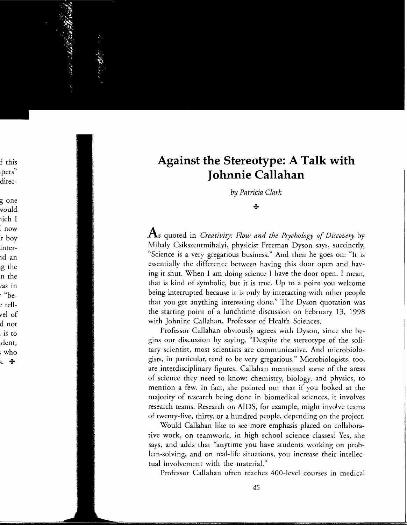## **Against the Stereotype: A Talk with** Johnnie Callahan

by Patricia Clark

#### ÷

 $\mathbf A$ s quoted in *Creativity: Flow and the Psychology of Discovery* by Mihaly Csikszentmihalyi, physicist Freeman Dyson says, succinctly, "Science is a very gregarious business." And then he goes on: "It is essentially the difference between having this door open and having it shut. When I am doing science I have the door open. I mean, that is kind of symbolic, but it is true. Up to a point you welcome being interrupted because it is only by interacting with other people that you get anything interesting done." The Dyson quotation was the starting point of a lunchtime discussion on February 13, 1998 with Johnine Callahan, Professor of Health Sciences.

Professor Callahan obviously agrees with Dyson, since she begins our discussion by saying, "Despite the stereotype of the solitary scientist, most scientists are communicative. And microbiologists, in particular, tend to be very gregarious." Microbiologists, too, are interdisciplinary figures. Callahan mentioned some of the areas of science they need to know: chemistry, biology, and physics, to mention a few. In fact, she pointed out that if you looked at the majority of research being done in biomedical sciences, it involves research teams. Research on AIDS, for example, might involve teams of twenty-five, thirty, or a hundred people, depending on the project.

Would Callahan like to see more emphasis placed on collaborative work, on teamwork, in high school science classes? Yes, she says, and adds that "anytime you have students working on problem-solving, and on real-life situations, you increase their intellectual involvement with the material."

Professor Callahan often teaches 400-level courses in medical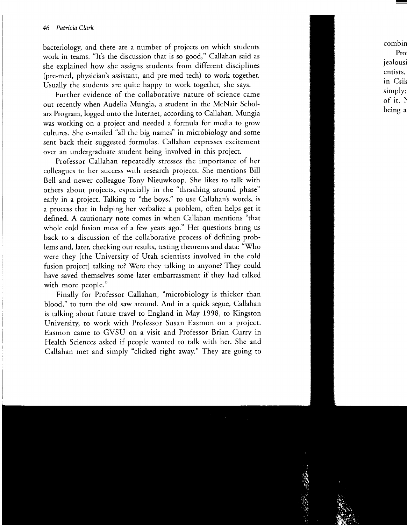bacteriology, and there are a number of projects on which students work in teams. "It's the discussion that is so good," Callahan said as she explained how she assigns students from different disciplines (pre-med, physician's assistant, and pre-med tech) to work together. Usually the students are quite happy to work together, she says.

Further evidence of the collaborative nature of science came out recently when Audelia Mungia, a student in the McNair Scholars Program, logged onto the Internet, according to Callahan. Mungia was working on a project and needed a formula for media to grow cultures. She e-mailed "all the big names" in microbiology and some sent back their suggested formulas. Callahan expresses excitement over an undergraduate student being involved in this project.

Professor Callahan repeatedly stresses the importance of her colleagues to her success with research projects. She mentions Bill Bell and newer colleague Tony Nieuwkoop. She likes to talk with others about projects, especially in the "thrashing around phase" early in a project. Talking to "the boys," to use Callahan's words, is a process that in helping her verbalize a problem, often helps get it defined. A cautionary note comes in when Callahan mentions "that whole cold fusion mess of a few years ago." Her questions bring us back to a discussion of the collaborative process of defining problems and, later, checking out results, testing theorems and data: "Who were they [the University of Utah scientists involved in the cold fusion project] talking to? Were they talking to anyone? They could have saved themselves some later embarrassment if they had talked with more people."

Finally for Professor Callahan, "microbiology is thicker than blood," to turn the old saw around. And in a quick segue, Callahan is talking about future travel to England in May 1998, to Kingston University, to work with Professor Susan Easmon on a project. Easmon came to GVSU on a visit and Professor Brian Curry in Health Sciences asked if people wanted to talk with her. She and Callahan met and simply "clicked right away." They are going to